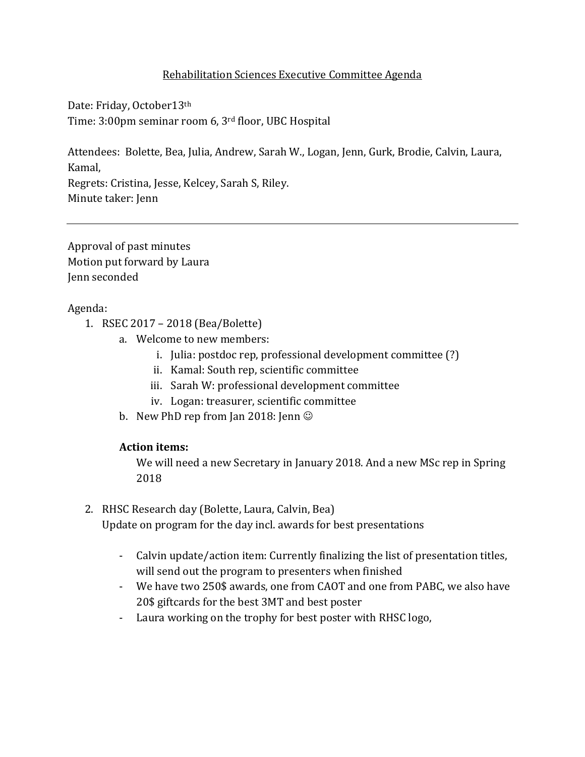# Rehabilitation Sciences Executive Committee Agenda

Date: Friday, October13th Time: 3:00pm seminar room 6, 3rd floor, UBC Hospital

Attendees: Bolette, Bea, Julia, Andrew, Sarah W., Logan, Jenn, Gurk, Brodie, Calvin, Laura, Kamal,

Regrets: Cristina, Jesse, Kelcey, Sarah S, Riley. Minute taker: Jenn

Approval of past minutes Motion put forward by Laura Jenn seconded

Agenda:

- 1. RSEC 2017 2018 (Bea/Bolette)
	- a. Welcome to new members:
		- i. Julia: postdoc rep, professional development committee (?)
		- ii. Kamal: South rep, scientific committee
		- iii. Sarah W: professional development committee
		- iv. Logan: treasurer, scientific committee
	- b. New PhD rep from Jan 2018: Jenn

# **Action items:**

We will need a new Secretary in January 2018. And a new MSc rep in Spring 2018

- 2. RHSC Research day (Bolette, Laura, Calvin, Bea) Update on program for the day incl. awards for best presentations
	- Calvin update/action item: Currently finalizing the list of presentation titles, will send out the program to presenters when finished
	- We have two 250\$ awards, one from CAOT and one from PABC, we also have 20\$ giftcards for the best 3MT and best poster
	- Laura working on the trophy for best poster with RHSC logo,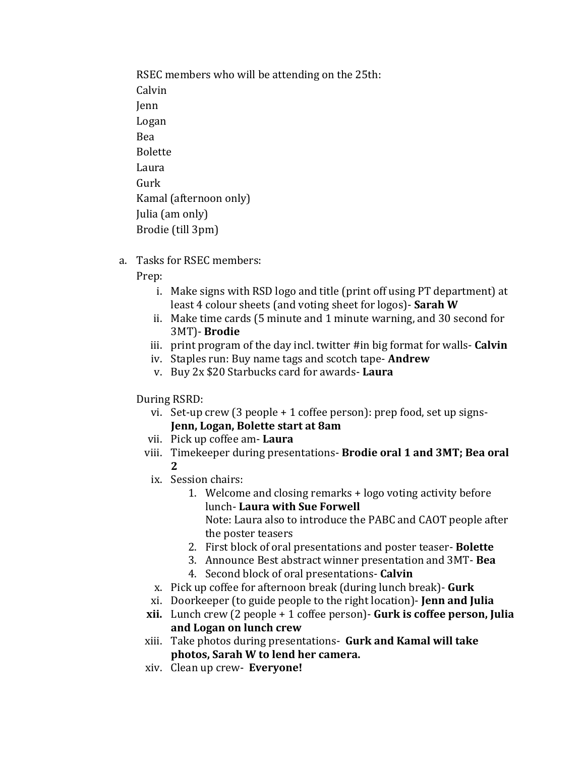RSEC members who will be attending on the 25th: Calvin Jenn Logan Bea Bolette Laura Gurk Kamal (afternoon only) Julia (am only) Brodie (till 3pm)

a. Tasks for RSEC members:

Prep:

- i. Make signs with RSD logo and title (print off using PT department) at least 4 colour sheets (and voting sheet for logos)- **Sarah W**
- ii. Make time cards (5 minute and 1 minute warning, and 30 second for 3MT)- **Brodie**
- iii. print program of the day incl. twitter #in big format for walls- **Calvin**
- iv. Staples run: Buy name tags and scotch tape- **Andrew**
- v. Buy 2x \$20 Starbucks card for awards- **Laura**

During RSRD:

- vi. Set-up crew (3 people + 1 coffee person): prep food, set up signs-**Jenn, Logan, Bolette start at 8am**
- vii. Pick up coffee am- **Laura**
- viii. Timekeeper during presentations- **Brodie oral 1 and 3MT; Bea oral 2**
- ix. Session chairs:
	- 1. Welcome and closing remarks + logo voting activity before lunch- **Laura with Sue Forwell**

Note: Laura also to introduce the PABC and CAOT people after the poster teasers

- 2. First block of oral presentations and poster teaser- **Bolette**
- 3. Announce Best abstract winner presentation and 3MT- **Bea**
- 4. Second block of oral presentations- **Calvin**
- x. Pick up coffee for afternoon break (during lunch break)- **Gurk**
- xi. Doorkeeper (to guide people to the right location)- **Jenn and Julia**
- **xii.** Lunch crew (2 people + 1 coffee person)- **Gurk is coffee person, Julia and Logan on lunch crew**
- xiii. Take photos during presentations- **Gurk and Kamal will take photos, Sarah W to lend her camera.**
- xiv. Clean up crew- **Everyone!**